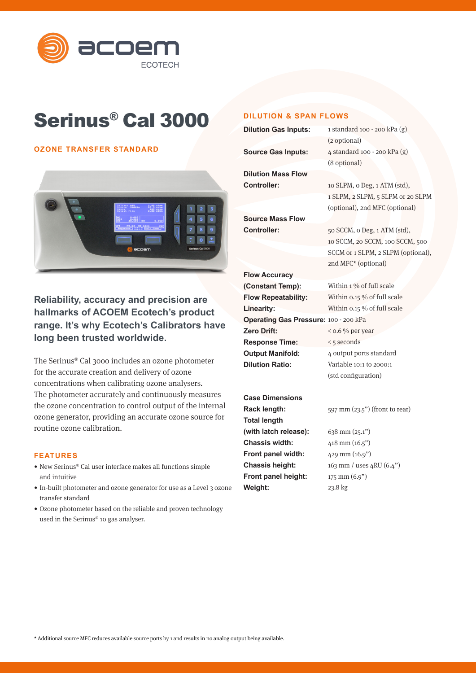

# Serinus® Cal 3000

## **OZONE TRANSFER STANDARD**



# **Reliability, accuracy and precision are hallmarks of ACOEM Ecotech's product range. It's why Ecotech's Calibrators have long been trusted worldwide.**

The Serinus® Cal 3000 includes an ozone photometer for the accurate creation and delivery of ozone concentrations when calibrating ozone analysers. The photometer accurately and continuously measures the ozone concentration to control output of the internal ozone generator, providing an accurate ozone source for routine ozone calibration.

## **FEATURES**

- New Serinus® Cal user interface makes all functions simple and intuitive
- In-built photometer and ozone generator for use as a Level 3 ozone transfer standard
- Ozone photometer based on the reliable and proven technology used in the Serinus® 10 gas analyser.

## **DILUTION & SPAN FLOWS**

**Weight:**

| <b>Dilution Gas Inputs:</b>           | 1 standard 100 - 200 kPa (g)       |
|---------------------------------------|------------------------------------|
|                                       | (2 optional)                       |
| <b>Source Gas Inputs:</b>             | 4 standard 100 - 200 kPa (g)       |
|                                       | (8 optional)                       |
| <b>Dilution Mass Flow</b>             |                                    |
| <b>Controller:</b>                    | 10 SLPM, o Deg, 1 ATM (std),       |
|                                       | 1 SLPM, 2 SLPM, 5 SLPM or 20 SLPM  |
|                                       | (optional), 2nd MFC (optional)     |
| <b>Source Mass Flow</b>               |                                    |
| <b>Controller:</b>                    | 50 SCCM, o Deg, 1 ATM (std),       |
|                                       | 10 SCCM, 20 SCCM, 100 SCCM, 500    |
|                                       | SCCM or 1 SLPM, 2 SLPM (optional), |
|                                       | 2nd MFC* (optional)                |
| <b>Flow Accuracy</b>                  |                                    |
| (Constant Temp):                      | Within 1 % of full scale           |
| <b>Flow Repeatability:</b>            | Within 0.15 % of full scale        |
| Linearity:                            | Within 0.15 % of full scale        |
| Operating Gas Pressure: 100 - 200 kPa |                                    |
| Zero Drift:                           | $<$ 0.6 % per year                 |
| <b>Response Time:</b>                 | < 5 seconds                        |
| <b>Output Manifold:</b>               | 4 output ports standard            |
| <b>Dilution Ratio:</b>                | Variable 10:1 to 2000:1            |
|                                       | (std configuration)                |
|                                       |                                    |
| <b>Case Dimensions</b>                |                                    |
| Rack length:                          | 597 mm (23.5") (front to rear)     |
| <b>Total length</b>                   |                                    |
| (with latch release):                 | 638 mm (25.1")                     |
| <b>Chassis width:</b>                 | 418 mm (16.5")                     |
| Front panel width:                    | 429 mm (16.9")                     |
| <b>Chassis height:</b>                | 163 mm / uses $4RU(6.4")$          |
| Front panel height:                   | 175 mm (6.9")                      |

23.8 kg